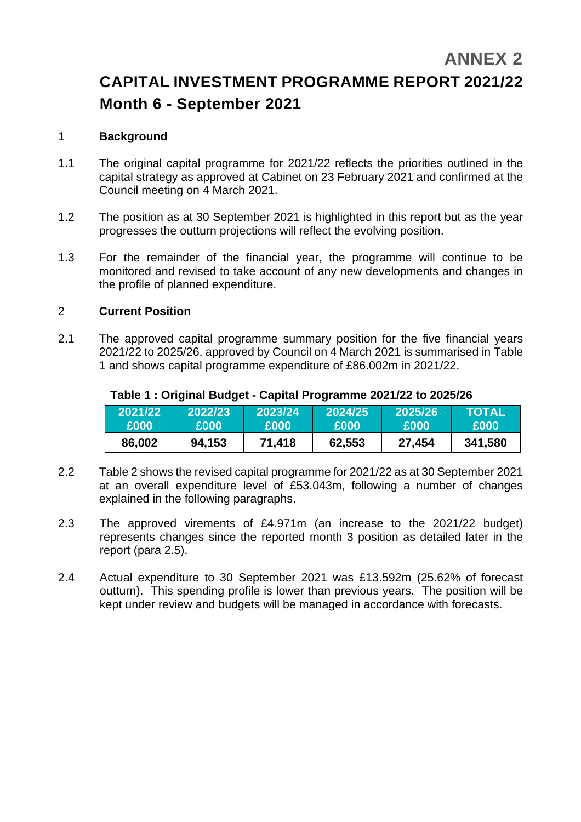# **ANNEX 2**

# **CAPITAL INVESTMENT PROGRAMME REPORT 2021/22 Month 6 - September 2021**

#### 1 **Background**

- 1.1 The original capital programme for 2021/22 reflects the priorities outlined in the capital strategy as approved at Cabinet on 23 February 2021 and confirmed at the Council meeting on 4 March 2021.
- 1.2 The position as at 30 September 2021 is highlighted in this report but as the year progresses the outturn projections will reflect the evolving position.
- 1.3 For the remainder of the financial year, the programme will continue to be monitored and revised to take account of any new developments and changes in the profile of planned expenditure.

#### 2 **Current Position**

2.1 The approved capital programme summary position for the five financial years 2021/22 to 2025/26, approved by Council on 4 March 2021 is summarised in Table 1 and shows capital programme expenditure of £86.002m in 2021/22.

| 2021/22 | 2022/23     | 2023/24 | 2024/25 | 2025/26 | <b>TOTAL</b> |
|---------|-------------|---------|---------|---------|--------------|
| £000    | <b>£000</b> | £000    | £000    | £000    | £000         |
| 86,002  | 94,153      | 71,418  | 62,553  | 27,454  | 341,580      |

#### **Table 1 : Original Budget - Capital Programme 2021/22 to 2025/26**

- 2.2 Table 2 shows the revised capital programme for 2021/22 as at 30 September 2021 at an overall expenditure level of £53.043m, following a number of changes explained in the following paragraphs.
- 2.3 The approved virements of £4.971m (an increase to the 2021/22 budget) represents changes since the reported month 3 position as detailed later in the report (para 2.5).
- 2.4 Actual expenditure to 30 September 2021 was £13.592m (25.62% of forecast outturn). This spending profile is lower than previous years. The position will be kept under review and budgets will be managed in accordance with forecasts.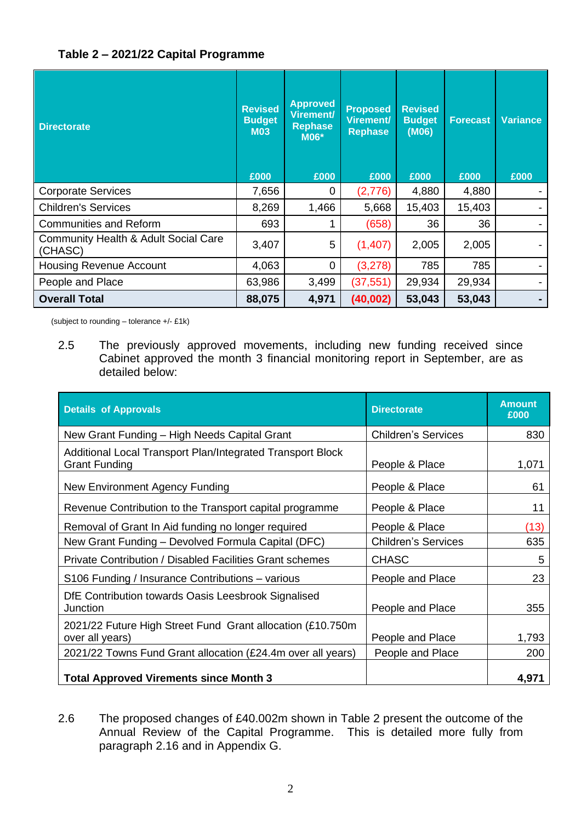## **Table 2 – 2021/22 Capital Programme**

| <b>Directorate</b>                                         | <b>Revised</b><br><b>Budget</b><br><b>M03</b><br>£000 | <b>Approved</b><br>Virement/<br><b>Rephase</b><br><b>M06*</b><br>£000 | <b>Proposed</b><br><b>Virement/</b><br><b>Rephase</b><br>£000 | <b>Revised</b><br><b>Budget</b><br>(M06)<br>£000 | <b>Forecast</b><br>£000 | <b>Variance</b><br>£000 |
|------------------------------------------------------------|-------------------------------------------------------|-----------------------------------------------------------------------|---------------------------------------------------------------|--------------------------------------------------|-------------------------|-------------------------|
| <b>Corporate Services</b>                                  | 7,656                                                 | 0                                                                     | (2,776)                                                       | 4,880                                            | 4,880                   |                         |
| <b>Children's Services</b>                                 | 8,269                                                 | 1,466                                                                 | 5,668                                                         | 15,403                                           | 15,403                  |                         |
| <b>Communities and Reform</b>                              | 693                                                   |                                                                       | (658)                                                         | 36                                               | 36                      |                         |
| <b>Community Health &amp; Adult Social Care</b><br>(CHASC) | 3,407                                                 | 5                                                                     | (1,407)                                                       | 2,005                                            | 2,005                   |                         |
| <b>Housing Revenue Account</b>                             | 4,063                                                 | 0                                                                     | (3,278)                                                       | 785                                              | 785                     |                         |
| People and Place                                           | 63,986                                                | 3,499                                                                 | (37, 551)                                                     | 29,934                                           | 29,934                  |                         |
| <b>Overall Total</b>                                       | 88,075                                                | 4,971                                                                 | (40,002)                                                      | 53,043                                           | 53,043                  |                         |

(subject to rounding – tolerance +/- £1k)

2.5 The previously approved movements, including new funding received since Cabinet approved the month 3 financial monitoring report in September, are as detailed below:

| <b>Details of Approvals</b>                                                        | <b>Directorate</b>         | <b>Amount</b><br>£000 |
|------------------------------------------------------------------------------------|----------------------------|-----------------------|
| New Grant Funding - High Needs Capital Grant                                       | <b>Children's Services</b> | 830                   |
| Additional Local Transport Plan/Integrated Transport Block<br><b>Grant Funding</b> | People & Place             | 1,071                 |
| New Environment Agency Funding                                                     | People & Place             | 61                    |
| Revenue Contribution to the Transport capital programme                            | People & Place             | 11                    |
| Removal of Grant In Aid funding no longer required                                 | People & Place             | (13)                  |
| New Grant Funding - Devolved Formula Capital (DFC)                                 | <b>Children's Services</b> | 635                   |
| <b>Private Contribution / Disabled Facilities Grant schemes</b>                    | <b>CHASC</b>               | 5                     |
| S106 Funding / Insurance Contributions - various                                   | People and Place           | 23                    |
| DfE Contribution towards Oasis Leesbrook Signalised<br>Junction                    | People and Place           | 355                   |
| 2021/22 Future High Street Fund Grant allocation (£10.750m<br>over all years)      | People and Place           | 1,793                 |
| 2021/22 Towns Fund Grant allocation (£24.4m over all years)                        | People and Place           | 200                   |
| <b>Total Approved Virements since Month 3</b>                                      |                            | 4,971                 |

2.6 The proposed changes of £40.002m shown in Table 2 present the outcome of the Annual Review of the Capital Programme. This is detailed more fully from paragraph 2.16 and in Appendix G.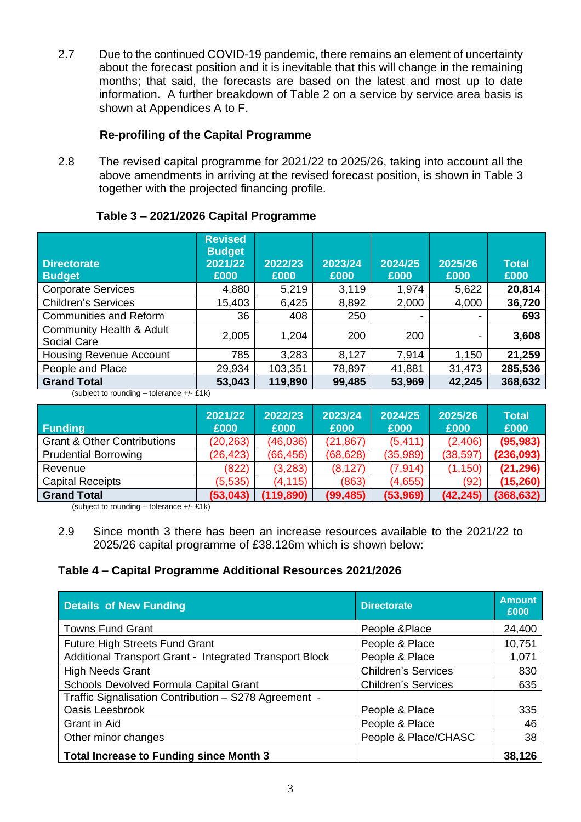2.7 Due to the continued COVID-19 pandemic, there remains an element of uncertainty about the forecast position and it is inevitable that this will change in the remaining months; that said, the forecasts are based on the latest and most up to date information. A further breakdown of Table 2 on a service by service area basis is shown at Appendices A to F.

## **Re-profiling of the Capital Programme**

2.8 The revised capital programme for 2021/22 to 2025/26, taking into account all the above amendments in arriving at the revised forecast position, is shown in Table 3 together with the projected financing profile.

| Table 3 - 2021/2026 Capital Programme |  |
|---------------------------------------|--|
|---------------------------------------|--|

| <b>Directorate</b><br><b>Budget</b>            | <b>Revised</b><br><b>Budget</b><br>2021/22<br>£000 | 2022/23<br>£000 | 2023/24<br>£000 | 2024/25<br>£000          | 2025/26<br>£000 | <b>Total</b><br>£000 |
|------------------------------------------------|----------------------------------------------------|-----------------|-----------------|--------------------------|-----------------|----------------------|
| <b>Corporate Services</b>                      | 4,880                                              | 5,219           | 3,119           | 1,974                    | 5,622           | 20,814               |
| <b>Children's Services</b>                     | 15,403                                             | 6,425           | 8,892           | 2,000                    | 4,000           | 36,720               |
| <b>Communities and Reform</b>                  | 36                                                 | 408             | 250             | $\overline{\phantom{0}}$ |                 | 693                  |
| Community Health & Adult<br><b>Social Care</b> | 2,005                                              | 1,204           | 200             | 200                      |                 | 3,608                |
| <b>Housing Revenue Account</b>                 | 785                                                | 3,283           | 8,127           | 7,914                    | 1,150           | 21,259               |
| People and Place                               | 29,934                                             | 103,351         | 78,897          | 41,881                   | 31,473          | 285,536              |
| <b>Grand Total</b>                             | 53,043                                             | 119,890         | 99,485          | 53,969                   | 42,245          | 368,632              |

(subject to rounding – tolerance +/- £1k)

| <b>Funding</b>                         | 2021/22<br>£000 | 2022/23<br>£000 | 2023/24<br>£000 | 2024/25<br><b>E000</b> | 2025/26<br>£000 | Total<br>£000 |
|----------------------------------------|-----------------|-----------------|-----------------|------------------------|-----------------|---------------|
| <b>Grant &amp; Other Contributions</b> | (20, 263)       | (46, 036)       | (21, 867)       | (5, 411)               | (2,406)         | (95, 983)     |
| <b>Prudential Borrowing</b>            | (26, 423)       | (66, 456)       | (68, 628)       | (35,989)               | (38, 597)       | (236,093)     |
| Revenue                                | (822)           | (3,283)         | (8, 127)        | (7, 914)               | (1, 150)        | (21, 296)     |
| <b>Capital Receipts</b>                | (5,535)         | (4, 115)        | (863)           | (4,655)                | (92)            | (15,260)      |
| <b>Grand Total</b>                     | (53,043)        | (119, 890)      | (99, 485)       | (53,969)               | (42, 245)       | (368, 632)    |

(subject to rounding – tolerance +/- £1k)

## **Table 4 – Capital Programme Additional Resources 2021/2026**

| <b>Details of New Funding</b>                           | <b>Directorate</b>         | <b>Amount</b><br>£000 |
|---------------------------------------------------------|----------------------------|-----------------------|
| <b>Towns Fund Grant</b>                                 | People &Place              | 24,400                |
| <b>Future High Streets Fund Grant</b>                   | People & Place             | 10,751                |
| Additional Transport Grant - Integrated Transport Block | People & Place             | 1,071                 |
| <b>High Needs Grant</b>                                 | <b>Children's Services</b> | 830                   |
| Schools Devolved Formula Capital Grant                  | <b>Children's Services</b> | 635                   |
| Traffic Signalisation Contribution - S278 Agreement -   |                            |                       |
| Oasis Leesbrook                                         | People & Place             | 335                   |
| Grant in Aid                                            | People & Place             | 46                    |
| Other minor changes                                     | People & Place/CHASC       | 38                    |
| <b>Total Increase to Funding since Month 3</b>          |                            | 38,126                |

<sup>2.9</sup> Since month 3 there has been an increase resources available to the 2021/22 to 2025/26 capital programme of £38.126m which is shown below: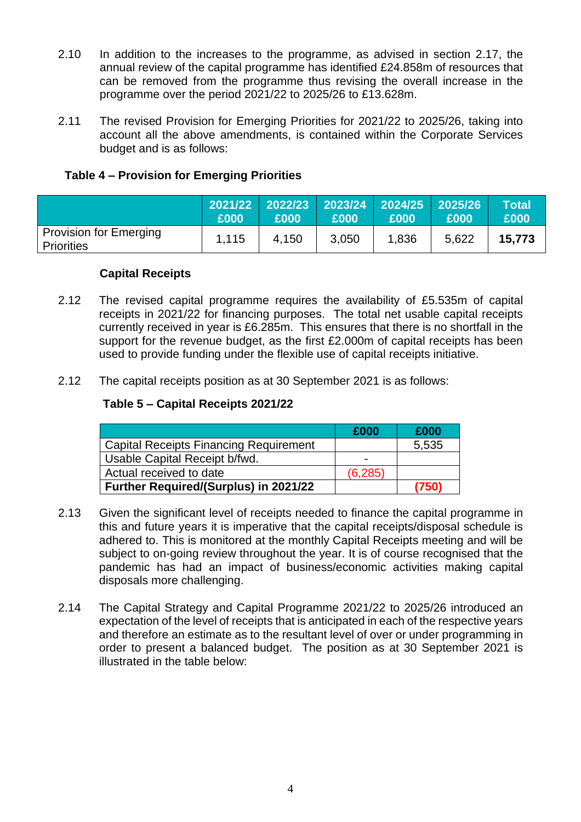- 2.10 In addition to the increases to the programme, as advised in section 2.17, the annual review of the capital programme has identified £24.858m of resources that can be removed from the programme thus revising the overall increase in the programme over the period 2021/22 to 2025/26 to £13.628m.
- 2.11 The revised Provision for Emerging Priorities for 2021/22 to 2025/26, taking into account all the above amendments, is contained within the Corporate Services budget and is as follows:

## **Table 4 – Provision for Emerging Priorities**

|                                                    | 2021/22<br>£000 | 2022/23 2023/24 2024/25 2025/26<br>£000 | £000  | E000  | £000  | Total<br>£000 |
|----------------------------------------------------|-----------------|-----------------------------------------|-------|-------|-------|---------------|
| <b>Provision for Emerging</b><br><b>Priorities</b> | 1,115           | 4,150                                   | 3,050 | 1,836 | 5.622 | 15,773        |

#### **Capital Receipts**

- 2.12 The revised capital programme requires the availability of £5.535m of capital receipts in 2021/22 for financing purposes. The total net usable capital receipts currently received in year is £6.285m. This ensures that there is no shortfall in the support for the revenue budget, as the first £2.000m of capital receipts has been used to provide funding under the flexible use of capital receipts initiative.
- 2.12 The capital receipts position as at 30 September 2021 is as follows:

#### **Table 5 – Capital Receipts 2021/22**

|                                               | £000                     | £000  |
|-----------------------------------------------|--------------------------|-------|
| <b>Capital Receipts Financing Requirement</b> |                          | 5,535 |
| Usable Capital Receipt b/fwd.                 | $\overline{\phantom{0}}$ |       |
| Actual received to date                       | (6, 285)                 |       |
| Further Required/(Surplus) in 2021/22         |                          | (750) |

- 2.13 Given the significant level of receipts needed to finance the capital programme in this and future years it is imperative that the capital receipts/disposal schedule is adhered to. This is monitored at the monthly Capital Receipts meeting and will be subject to on-going review throughout the year. It is of course recognised that the pandemic has had an impact of business/economic activities making capital disposals more challenging.
- 2.14 The Capital Strategy and Capital Programme 2021/22 to 2025/26 introduced an expectation of the level of receipts that is anticipated in each of the respective years and therefore an estimate as to the resultant level of over or under programming in order to present a balanced budget. The position as at 30 September 2021 is illustrated in the table below: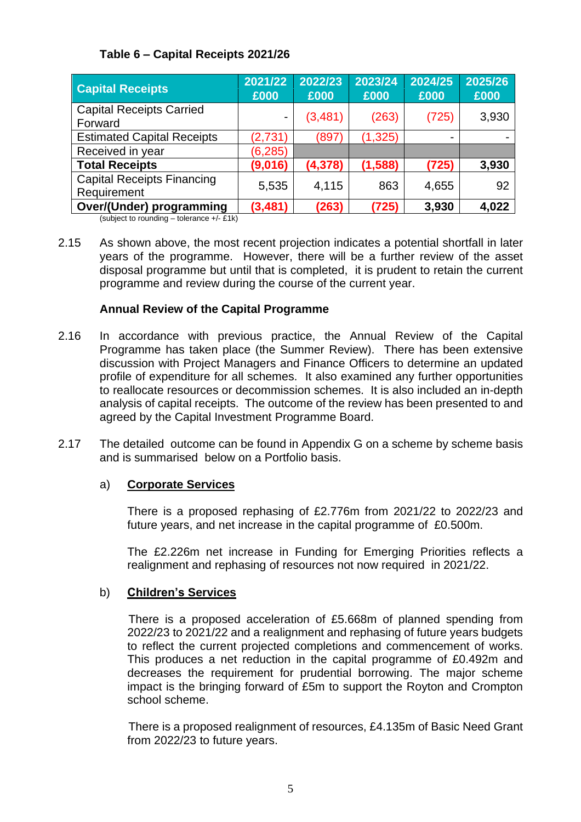## **Table 6 – Capital Receipts 2021/26**

| <b>Capital Receipts</b>                                                 | 2021/22<br>£000 | 2022/23<br>£000 | 2023/24<br>£000 | 2024/25<br>£000 | 2025/26<br>£000 |
|-------------------------------------------------------------------------|-----------------|-----------------|-----------------|-----------------|-----------------|
| <b>Capital Receipts Carried</b><br>Forward                              | -               | (3,481)         | (263)           | (725)           | 3,930           |
| <b>Estimated Capital Receipts</b>                                       | (2,731)         | (897)           | (1, 325)        |                 |                 |
| Received in year                                                        | (6, 285)        |                 |                 |                 |                 |
| <b>Total Receipts</b>                                                   | (9,016)         | (4,378)         | (1,588)         | (725)           | 3,930           |
| <b>Capital Receipts Financing</b><br>Requirement                        | 5,535           | 4,115           | 863             | 4,655           | 92              |
| Over/(Under) programming<br>$\qquad \qquad \cdots \qquad \qquad \cdots$ | (3, 481)        | (263)           | (725)           | 3,930           | 4,022           |

(subject to rounding – tolerance +/- £1k)

2.15 As shown above, the most recent projection indicates a potential shortfall in later years of the programme. However, there will be a further review of the asset disposal programme but until that is completed, it is prudent to retain the current programme and review during the course of the current year.

## **Annual Review of the Capital Programme**

- 2.16 In accordance with previous practice, the Annual Review of the Capital Programme has taken place (the Summer Review). There has been extensive discussion with Project Managers and Finance Officers to determine an updated profile of expenditure for all schemes. It also examined any further opportunities to reallocate resources or decommission schemes. It is also included an in-depth analysis of capital receipts. The outcome of the review has been presented to and agreed by the Capital Investment Programme Board.
- 2.17 The detailed outcome can be found in Appendix G on a scheme by scheme basis and is summarised below on a Portfolio basis.

## a) **Corporate Services**

There is a proposed rephasing of £2.776m from 2021/22 to 2022/23 and future years, and net increase in the capital programme of £0.500m.

The £2.226m net increase in Funding for Emerging Priorities reflects a realignment and rephasing of resources not now required in 2021/22.

#### b) **Children's Services**

There is a proposed acceleration of £5.668m of planned spending from 2022/23 to 2021/22 and a realignment and rephasing of future years budgets to reflect the current projected completions and commencement of works. This produces a net reduction in the capital programme of £0.492m and decreases the requirement for prudential borrowing. The major scheme impact is the bringing forward of £5m to support the Royton and Crompton school scheme.

There is a proposed realignment of resources, £4.135m of Basic Need Grant from 2022/23 to future years.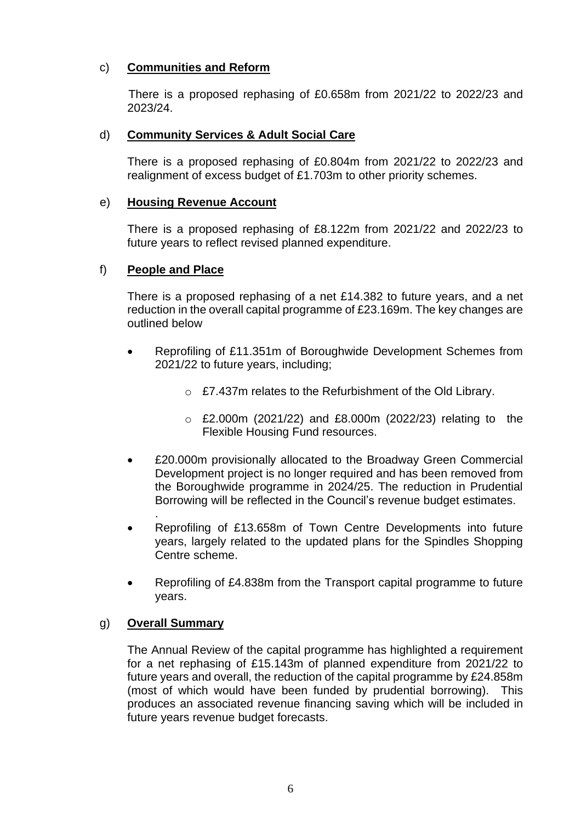## c) **Communities and Reform**

There is a proposed rephasing of £0.658m from 2021/22 to 2022/23 and 2023/24.

#### d) **Community Services & Adult Social Care**

There is a proposed rephasing of £0.804m from 2021/22 to 2022/23 and realignment of excess budget of £1.703m to other priority schemes.

#### e) **Housing Revenue Account**

There is a proposed rephasing of £8.122m from 2021/22 and 2022/23 to future years to reflect revised planned expenditure.

#### f) **People and Place**

There is a proposed rephasing of a net £14.382 to future years, and a net reduction in the overall capital programme of £23.169m. The key changes are outlined below

- Reprofiling of £11.351m of Boroughwide Development Schemes from 2021/22 to future years, including;
	- o £7.437m relates to the Refurbishment of the Old Library.
	- o £2.000m (2021/22) and £8.000m (2022/23) relating to the Flexible Housing Fund resources.
- £20.000m provisionally allocated to the Broadway Green Commercial Development project is no longer required and has been removed from the Boroughwide programme in 2024/25. The reduction in Prudential Borrowing will be reflected in the Council's revenue budget estimates.
- Reprofiling of £13.658m of Town Centre Developments into future years, largely related to the updated plans for the Spindles Shopping Centre scheme.
- Reprofiling of £4.838m from the Transport capital programme to future years.

#### g) **Overall Summary**

.

The Annual Review of the capital programme has highlighted a requirement for a net rephasing of £15.143m of planned expenditure from 2021/22 to future years and overall, the reduction of the capital programme by £24.858m (most of which would have been funded by prudential borrowing). This produces an associated revenue financing saving which will be included in future years revenue budget forecasts.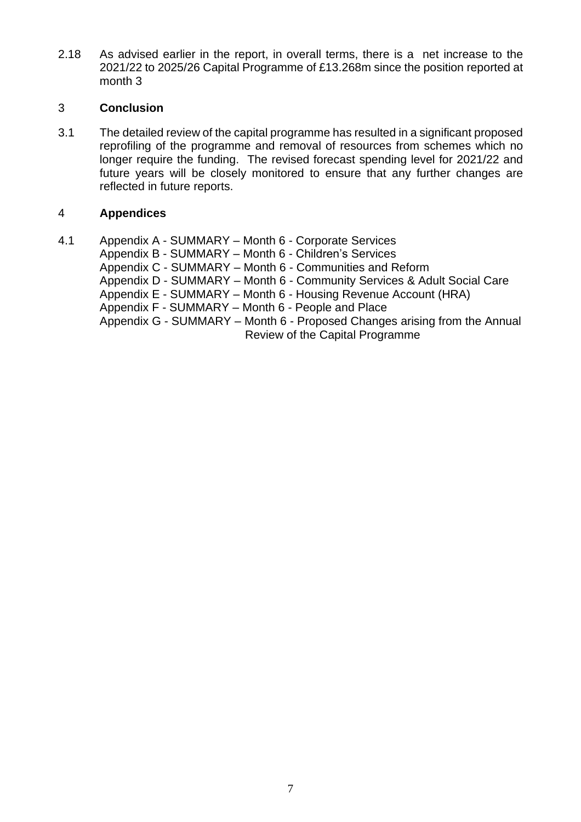2.18 As advised earlier in the report, in overall terms, there is a net increase to the 2021/22 to 2025/26 Capital Programme of £13.268m since the position reported at month 3

## 3 **Conclusion**

3.1 The detailed review of the capital programme has resulted in a significant proposed reprofiling of the programme and removal of resources from schemes which no longer require the funding. The revised forecast spending level for 2021/22 and future years will be closely monitored to ensure that any further changes are reflected in future reports.

## 4 **Appendices**

4.1 Appendix A - SUMMARY – Month 6 - Corporate Services Appendix B - SUMMARY – Month 6 - Children's Services Appendix C - SUMMARY – Month 6 - Communities and Reform

Appendix D - SUMMARY – Month 6 - Community Services & Adult Social Care Appendix E - SUMMARY – Month 6 - Housing Revenue Account (HRA) Appendix F - SUMMARY – Month 6 - People and Place Appendix G - SUMMARY – Month 6 - Proposed Changes arising from the Annual

Review of the Capital Programme

7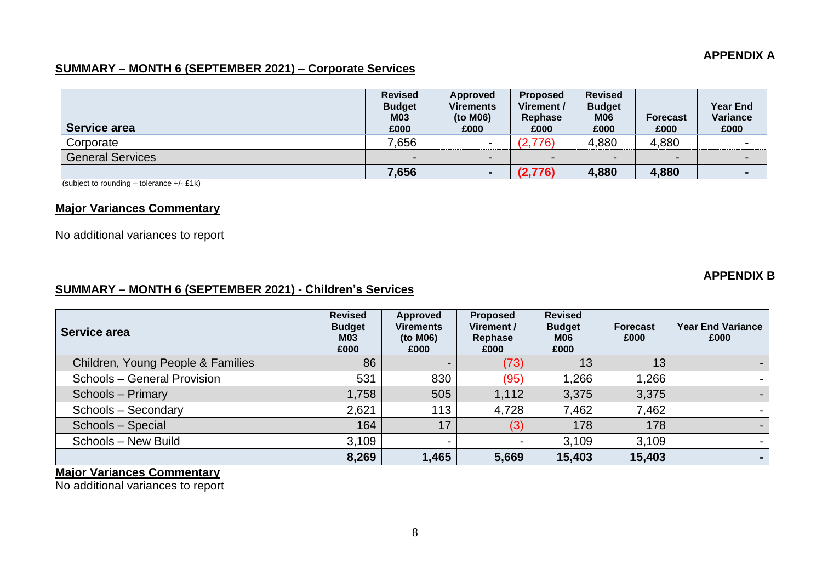#### **APPENDIX A**

## **SUMMARY – MONTH 6 (SEPTEMBER 2021) – Corporate Services**

| Service area            | <b>Revised</b><br><b>Budget</b><br><b>M03</b><br>£000 | Approved<br><b>Virements</b><br>(to M06)<br>£000 | <b>Proposed</b><br>Virement /<br>Rephase<br>£000 | <b>Revised</b><br><b>Budget</b><br><b>M06</b><br>£000 | <b>Forecast</b><br>£000  | <b>Year End</b><br>Variance<br>£000 |
|-------------------------|-------------------------------------------------------|--------------------------------------------------|--------------------------------------------------|-------------------------------------------------------|--------------------------|-------------------------------------|
| Corporate               | 7,656                                                 | -<br>---------------------------                 | (2,776)                                          | 4,880                                                 | 4,880                    | $\overline{\phantom{0}}$            |
| <b>General Services</b> | $\overline{\phantom{0}}$                              | $\overline{\phantom{0}}$                         | $\overline{\phantom{0}}$                         | -                                                     | $\overline{\phantom{0}}$ | $\blacksquare$                      |
|                         | 7,656                                                 |                                                  | (2,776)                                          | 4,880                                                 | 4,880                    | $\blacksquare$                      |

(subject to rounding – tolerance +/- £1k)

## **Major Variances Commentary**

No additional variances to report

#### **APPENDIX B**

#### **SUMMARY – MONTH 6 (SEPTEMBER 2021) - Children's Services**

| Service area                      | <b>Revised</b><br><b>Budget</b><br><b>M03</b><br>£000 | Approved<br><b>Virements</b><br>(to M06)<br>£000 | <b>Proposed</b><br>Virement /<br>Rephase<br>£000 | <b>Revised</b><br><b>Budget</b><br>M06<br>£000 | <b>Forecast</b><br>£000 | <b>Year End Variance</b><br>£000 |
|-----------------------------------|-------------------------------------------------------|--------------------------------------------------|--------------------------------------------------|------------------------------------------------|-------------------------|----------------------------------|
| Children, Young People & Families | 86                                                    |                                                  | (73)                                             | 13                                             | 13                      |                                  |
| Schools - General Provision       | 531                                                   | 830                                              | (95)                                             | 1,266                                          | 1,266                   |                                  |
| Schools - Primary                 | 1,758                                                 | 505                                              | 1,112                                            | 3,375                                          | 3,375                   |                                  |
| Schools - Secondary               | 2,621                                                 | 113                                              | 4,728                                            | 7,462                                          | 7,462                   |                                  |
| Schools - Special                 | 164                                                   | 17                                               | (3)                                              | 178                                            | 178                     |                                  |
| Schools - New Build               | 3,109                                                 | $\blacksquare$                                   |                                                  | 3,109                                          | 3,109                   |                                  |
|                                   | 8,269                                                 | 1,465                                            | 5,669                                            | 15,403                                         | 15,403                  |                                  |

## **Major Variances Commentary**

No additional variances to report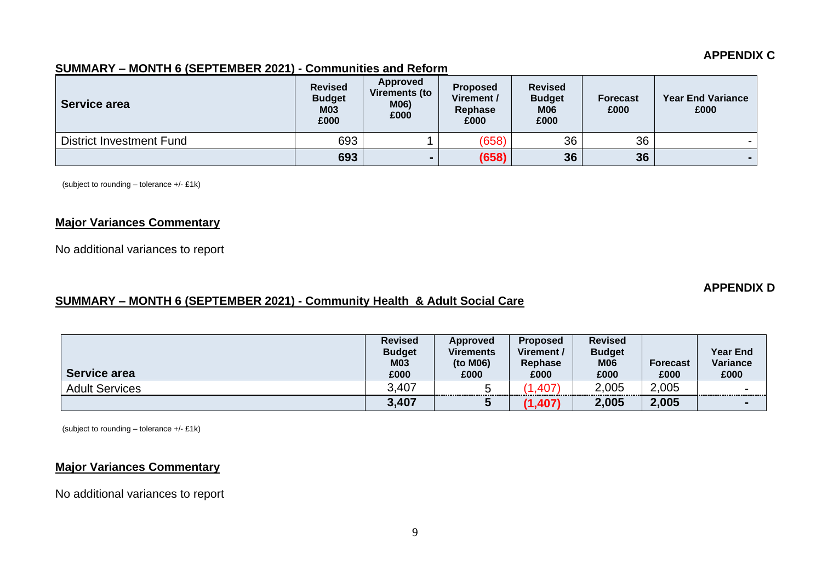#### **APPENDIX C**

#### **SUMMARY – MONTH 6 (SEPTEMBER 2021) - Communities and Reform**

| Service area                    | <b>Revised</b><br><b>Budget</b><br><b>M03</b><br>£000 | Approved<br><b>Virements (to</b><br>M06)<br>£000 | <b>Proposed</b><br>Virement /<br>Rephase<br>£000 | <b>Revised</b><br><b>Budget</b><br><b>M06</b><br>£000 | <b>Forecast</b><br>£000 | <b>Year End Variance</b><br>£000 |
|---------------------------------|-------------------------------------------------------|--------------------------------------------------|--------------------------------------------------|-------------------------------------------------------|-------------------------|----------------------------------|
| <b>District Investment Fund</b> | 693                                                   |                                                  | (658)                                            | 36                                                    | 36                      |                                  |
|                                 | 693                                                   |                                                  | (658)                                            | 36                                                    | 36                      |                                  |

(subject to rounding – tolerance +/- £1k)

## **Major Variances Commentary**

No additional variances to report

#### **APPENDIX D**

## **SUMMARY – MONTH 6 (SEPTEMBER 2021) - Community Health & Adult Social Care**

| Service area          | <b>Revised</b><br><b>Budget</b><br><b>M03</b><br>£000 | Approved<br><b>Virements</b><br>(to M06)<br>£000 | <b>Proposed</b><br>Virement/<br>Rephase<br>£000 | <b>Revised</b><br><b>Budget</b><br><b>M06</b><br>£000 | <b>Forecast</b><br>£000 | <b>Year End</b><br>Variance<br>£000 |
|-----------------------|-------------------------------------------------------|--------------------------------------------------|-------------------------------------------------|-------------------------------------------------------|-------------------------|-------------------------------------|
| <b>Adult Services</b> | 3.407                                                 |                                                  | .407)                                           | 2,005                                                 | 2,005                   | $\overline{\phantom{0}}$            |
|                       | 3,407                                                 |                                                  | (1, 407)                                        | 2,005                                                 | 2,005                   | $\blacksquare$                      |

(subject to rounding – tolerance +/- £1k)

## **Major Variances Commentary**

No additional variances to report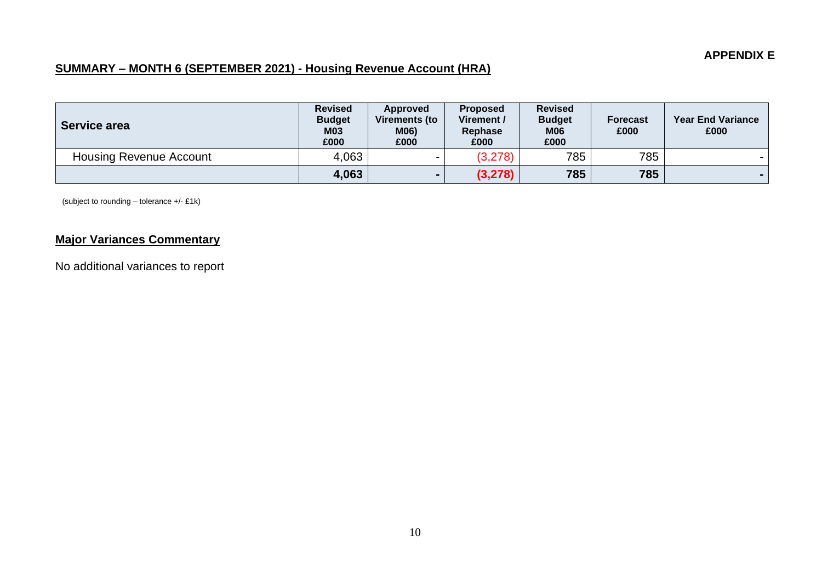# **SUMMARY – MONTH 6 (SEPTEMBER 2021) - Housing Revenue Account (HRA)**

| Service area                   | <b>Revised</b><br><b>Budget</b><br><b>M03</b><br>£000 | Approved<br>Virements (to<br>M06)<br>£000 | <b>Proposed</b><br>Virement /<br>Rephase<br>£000 | <b>Revised</b><br><b>Budget</b><br><b>M06</b><br>£000 | <b>Forecast</b><br>£000 | <b>Year End Variance</b><br>£000 |
|--------------------------------|-------------------------------------------------------|-------------------------------------------|--------------------------------------------------|-------------------------------------------------------|-------------------------|----------------------------------|
| <b>Housing Revenue Account</b> | 4,063                                                 |                                           | (3,278)                                          | 785                                                   | 785                     |                                  |
|                                | 4,063                                                 |                                           | (3, 278)                                         | 785                                                   | 785                     |                                  |

(subject to rounding – tolerance +/- £1k)

# **Major Variances Commentary**

No additional variances to report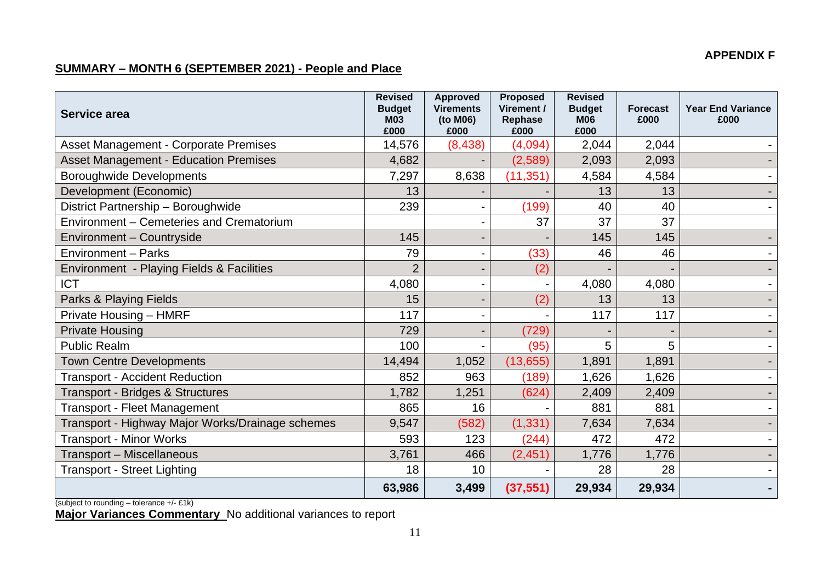## **APPENDIX F**

# **SUMMARY – MONTH 6 (SEPTEMBER 2021) - People and Place**

| Service area                                     | <b>Revised</b><br><b>Budget</b><br><b>M03</b><br>£000 | <b>Approved</b><br><b>Virements</b><br>(to M06)<br>£000 | <b>Proposed</b><br>Virement /<br>Rephase<br>£000 | <b>Revised</b><br><b>Budget</b><br><b>M06</b><br>£000 | <b>Forecast</b><br>£000 | <b>Year End Variance</b><br>£000 |
|--------------------------------------------------|-------------------------------------------------------|---------------------------------------------------------|--------------------------------------------------|-------------------------------------------------------|-------------------------|----------------------------------|
| <b>Asset Management - Corporate Premises</b>     | 14,576                                                | (8, 438)                                                | (4,094)                                          | 2,044                                                 | 2,044                   |                                  |
| <b>Asset Management - Education Premises</b>     | 4,682                                                 |                                                         | (2,589)                                          | 2,093                                                 | 2,093                   |                                  |
| <b>Boroughwide Developments</b>                  | 7,297                                                 | 8,638                                                   | (11, 351)                                        | 4,584                                                 | 4,584                   |                                  |
| Development (Economic)                           | 13                                                    |                                                         |                                                  | 13                                                    | 13                      |                                  |
| District Partnership - Boroughwide               | 239                                                   |                                                         | (199)                                            | 40                                                    | 40                      |                                  |
| Environment - Cemeteries and Crematorium         |                                                       | $\blacksquare$                                          | 37                                               | 37                                                    | 37                      |                                  |
| Environment - Countryside                        | 145                                                   | ۰.                                                      |                                                  | 145                                                   | 145                     |                                  |
| <b>Environment - Parks</b>                       | 79                                                    | $\blacksquare$                                          | (33)                                             | 46                                                    | 46                      |                                  |
| Environment - Playing Fields & Facilities        | $\overline{2}$                                        | $\blacksquare$                                          | (2)                                              |                                                       |                         |                                  |
| <b>ICT</b>                                       | 4,080                                                 |                                                         |                                                  | 4,080                                                 | 4,080                   |                                  |
| Parks & Playing Fields                           | 15                                                    | $\blacksquare$                                          | (2)                                              | 13                                                    | 13                      |                                  |
| Private Housing - HMRF                           | 117                                                   |                                                         |                                                  | 117                                                   | 117                     |                                  |
| <b>Private Housing</b>                           | 729                                                   | $\blacksquare$                                          | (729)                                            |                                                       |                         | $\blacksquare$                   |
| <b>Public Realm</b>                              | 100                                                   |                                                         | (95)                                             | 5                                                     | 5                       |                                  |
| <b>Town Centre Developments</b>                  | 14,494                                                | 1,052                                                   | (13, 655)                                        | 1,891                                                 | 1,891                   |                                  |
| <b>Transport - Accident Reduction</b>            | 852                                                   | 963                                                     | (189)                                            | 1,626                                                 | 1,626                   |                                  |
| <b>Transport - Bridges &amp; Structures</b>      | 1,782                                                 | 1,251                                                   | (624)                                            | 2,409                                                 | 2,409                   |                                  |
| <b>Transport - Fleet Management</b>              | 865                                                   | 16                                                      |                                                  | 881                                                   | 881                     |                                  |
| Transport - Highway Major Works/Drainage schemes | 9,547                                                 | (582)                                                   | (1, 331)                                         | 7,634                                                 | 7,634                   | $\blacksquare$                   |
| <b>Transport - Minor Works</b>                   | 593                                                   | 123                                                     | (244)                                            | 472                                                   | 472                     |                                  |
| Transport - Miscellaneous                        | 3,761                                                 | 466                                                     | (2, 451)                                         | 1,776                                                 | 1,776                   |                                  |
| <b>Transport - Street Lighting</b>               | 18                                                    | 10                                                      |                                                  | 28                                                    | 28                      |                                  |
|                                                  | 63,986                                                | 3,499                                                   | (37, 551)                                        | 29,934                                                | 29,934                  |                                  |

(subject to rounding – tolerance +/- £1k)

**Major Variances Commentary** No additional variances to report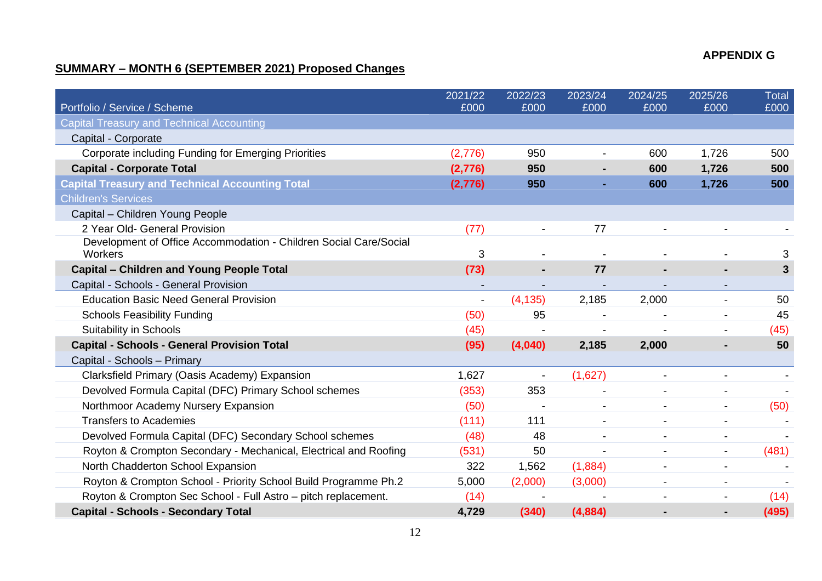## **APPENDIX G**

# **SUMMARY – MONTH 6 (SEPTEMBER 2021) Proposed Changes**

|                                                                   | 2021/22 | 2022/23  | 2023/24 | 2024/25 | 2025/26                  | Total        |
|-------------------------------------------------------------------|---------|----------|---------|---------|--------------------------|--------------|
| Portfolio / Service / Scheme                                      | £000    | £000     | £000    | £000    | £000                     | £000         |
| <b>Capital Treasury and Technical Accounting</b>                  |         |          |         |         |                          |              |
| Capital - Corporate                                               |         |          |         |         |                          |              |
| Corporate including Funding for Emerging Priorities               | (2,776) | 950      |         | 600     | 1,726                    | 500          |
| <b>Capital - Corporate Total</b>                                  | (2,776) | 950      |         | 600     | 1,726                    | 500          |
| <b>Capital Treasury and Technical Accounting Total</b>            | (2,776) | 950      |         | 600     | 1,726                    | 500          |
| <b>Children's Services</b>                                        |         |          |         |         |                          |              |
| Capital - Children Young People                                   |         |          |         |         |                          |              |
| 2 Year Old- General Provision                                     | (77)    |          | 77      |         |                          |              |
| Development of Office Accommodation - Children Social Care/Social |         |          |         |         |                          |              |
| Workers                                                           | 3       |          |         |         |                          | 3            |
| <b>Capital – Children and Young People Total</b>                  | (73)    |          | 77      |         |                          | $\mathbf{3}$ |
| Capital - Schools - General Provision                             |         |          |         |         |                          |              |
| <b>Education Basic Need General Provision</b>                     |         | (4, 135) | 2,185   | 2,000   |                          | 50           |
| <b>Schools Feasibility Funding</b>                                | (50)    | 95       |         |         |                          | 45           |
| Suitability in Schools                                            | (45)    |          |         |         |                          | (45)         |
| <b>Capital - Schools - General Provision Total</b>                | (95)    | (4,040)  | 2,185   | 2,000   |                          | 50           |
| Capital - Schools - Primary                                       |         |          |         |         |                          |              |
| Clarksfield Primary (Oasis Academy) Expansion                     | 1,627   |          | (1,627) |         |                          |              |
| Devolved Formula Capital (DFC) Primary School schemes             | (353)   | 353      |         |         |                          |              |
| Northmoor Academy Nursery Expansion                               | (50)    |          |         |         | $\overline{\phantom{a}}$ | (50)         |
| <b>Transfers to Academies</b>                                     | (111)   | 111      |         |         | -                        |              |
| Devolved Formula Capital (DFC) Secondary School schemes           | (48)    | 48       |         |         | ۰                        |              |
| Royton & Crompton Secondary - Mechanical, Electrical and Roofing  | (531)   | 50       |         |         | $\blacksquare$           | (481)        |
| North Chadderton School Expansion                                 | 322     | 1,562    | (1,884) |         |                          |              |
| Royton & Crompton School - Priority School Build Programme Ph.2   | 5,000   | (2,000)  | (3,000) |         | -                        |              |
| Royton & Crompton Sec School - Full Astro - pitch replacement.    | (14)    |          |         |         |                          | (14)         |
| <b>Capital - Schools - Secondary Total</b>                        | 4,729   | (340)    | (4,884) |         |                          | (495)        |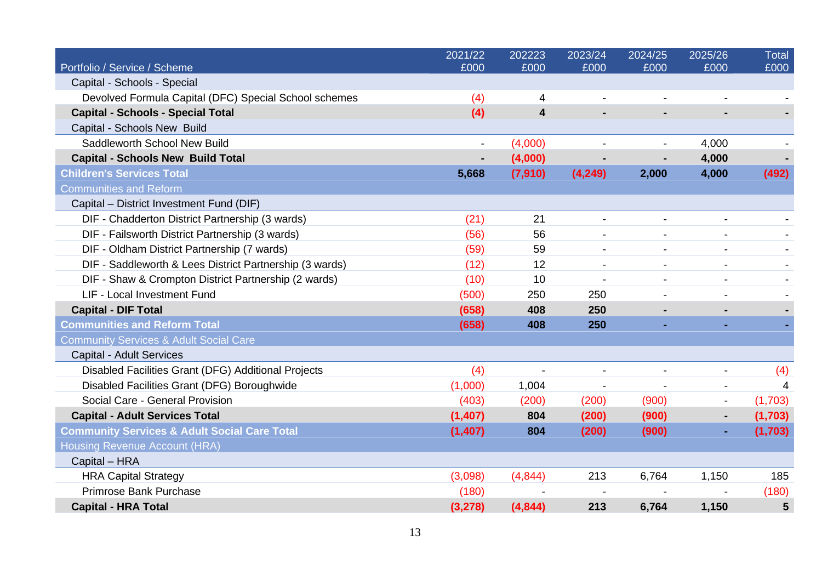|                                                         | 2021/22  | 202223         | 2023/24        | 2024/25        | 2025/26                  | <b>Total</b> |
|---------------------------------------------------------|----------|----------------|----------------|----------------|--------------------------|--------------|
| Portfolio / Service / Scheme                            | £000     | £000           | £000           | £000           | £000                     | £000         |
| Capital - Schools - Special                             |          |                |                |                |                          |              |
| Devolved Formula Capital (DFC) Special School schemes   | (4)      | 4              |                |                |                          |              |
| <b>Capital - Schools - Special Total</b>                | (4)      | 4              |                |                |                          |              |
| Capital - Schools New Build                             |          |                |                |                |                          |              |
| Saddleworth School New Build                            |          | (4,000)        |                |                | 4,000                    |              |
| <b>Capital - Schools New Build Total</b>                |          | (4,000)        |                |                | 4,000                    |              |
| <b>Children's Services Total</b>                        | 5,668    | (7, 910)       | (4, 249)       | 2,000          | 4,000                    | (492)        |
| <b>Communities and Reform</b>                           |          |                |                |                |                          |              |
| Capital - District Investment Fund (DIF)                |          |                |                |                |                          |              |
| DIF - Chadderton District Partnership (3 wards)         | (21)     | 21             | $\blacksquare$ |                |                          |              |
| DIF - Failsworth District Partnership (3 wards)         | (56)     | 56             |                |                |                          |              |
| DIF - Oldham District Partnership (7 wards)             | (59)     | 59             | $\blacksquare$ | $\blacksquare$ | $\blacksquare$           |              |
| DIF - Saddleworth & Lees District Partnership (3 wards) | (12)     | 12             |                |                |                          |              |
| DIF - Shaw & Crompton District Partnership (2 wards)    | (10)     | 10             |                |                |                          |              |
| LIF - Local Investment Fund                             | (500)    | 250            | 250            |                |                          |              |
| <b>Capital - DIF Total</b>                              | (658)    | 408            | 250            |                |                          |              |
| <b>Communities and Reform Total</b>                     | (658)    | 408            | 250            | $\sim$         | ٠                        |              |
| <b>Community Services &amp; Adult Social Care</b>       |          |                |                |                |                          |              |
| <b>Capital - Adult Services</b>                         |          |                |                |                |                          |              |
| Disabled Facilities Grant (DFG) Additional Projects     | (4)      | $\overline{a}$ |                |                |                          | (4)          |
| Disabled Facilities Grant (DFG) Boroughwide             | (1,000)  | 1,004          |                |                | $\overline{\phantom{a}}$ | 4            |
| Social Care - General Provision                         | (403)    | (200)          | (200)          | (900)          |                          | (1,703)      |
| <b>Capital - Adult Services Total</b>                   | (1, 407) | 804            | (200)          | (900)          | ٠                        | (1,703)      |
| <b>Community Services &amp; Adult Social Care Total</b> | (1,407)  | 804            | (200)          | (900)          | ٠                        | (1,703)      |
| Housing Revenue Account (HRA)                           |          |                |                |                |                          |              |
| Capital - HRA                                           |          |                |                |                |                          |              |
| <b>HRA Capital Strategy</b>                             | (3,098)  | (4,844)        | 213            | 6,764          | 1,150                    | 185          |
| Primrose Bank Purchase                                  | (180)    |                |                |                |                          | (180)        |
| <b>Capital - HRA Total</b>                              | (3, 278) | (4,844)        | 213            | 6,764          | 1,150                    | 5            |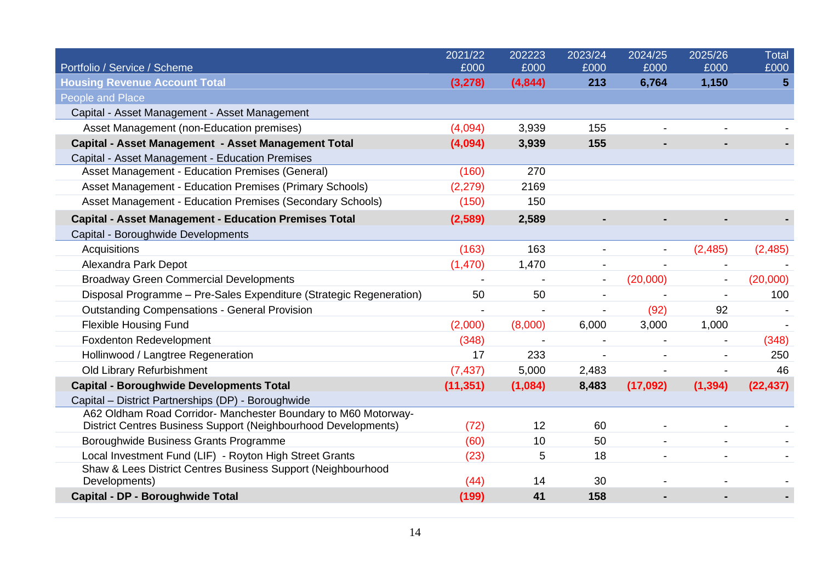|                                                                     | 2021/22   | 202223  | 2023/24                  | 2024/25  | 2025/26  | <b>Total</b>    |
|---------------------------------------------------------------------|-----------|---------|--------------------------|----------|----------|-----------------|
| Portfolio / Service / Scheme                                        | £000      | £000    | £000                     | £000     | £000     | £000            |
| <b>Housing Revenue Account Total</b>                                | (3,278)   | (4,844) | 213                      | 6,764    | 1,150    | $5\phantom{.0}$ |
| <b>People and Place</b>                                             |           |         |                          |          |          |                 |
| Capital - Asset Management - Asset Management                       |           |         |                          |          |          |                 |
| Asset Management (non-Education premises)                           | (4,094)   | 3,939   | 155                      |          |          |                 |
| Capital - Asset Management - Asset Management Total                 | (4,094)   | 3,939   | 155                      |          |          |                 |
| Capital - Asset Management - Education Premises                     |           |         |                          |          |          |                 |
| Asset Management - Education Premises (General)                     | (160)     | 270     |                          |          |          |                 |
| Asset Management - Education Premises (Primary Schools)             | (2, 279)  | 2169    |                          |          |          |                 |
| Asset Management - Education Premises (Secondary Schools)           | (150)     | 150     |                          |          |          |                 |
| <b>Capital - Asset Management - Education Premises Total</b>        | (2,589)   | 2,589   |                          |          |          |                 |
| Capital - Boroughwide Developments                                  |           |         |                          |          |          |                 |
| Acquisitions                                                        | (163)     | 163     |                          |          | (2,485)  | (2,485)         |
| Alexandra Park Depot                                                | (1,470)   | 1,470   |                          |          |          |                 |
| <b>Broadway Green Commercial Developments</b>                       |           |         | $\overline{\phantom{a}}$ | (20,000) |          | (20,000)        |
| Disposal Programme - Pre-Sales Expenditure (Strategic Regeneration) | 50        | 50      |                          |          |          | 100             |
| <b>Outstanding Compensations - General Provision</b>                |           |         |                          | (92)     | 92       |                 |
| <b>Flexible Housing Fund</b>                                        | (2,000)   | (8,000) | 6,000                    | 3,000    | 1,000    |                 |
| <b>Foxdenton Redevelopment</b>                                      | (348)     |         |                          |          |          | (348)           |
| Hollinwood / Langtree Regeneration                                  | 17        | 233     |                          |          |          | 250             |
| Old Library Refurbishment                                           | (7, 437)  | 5,000   | 2,483                    |          |          | 46              |
| <b>Capital - Boroughwide Developments Total</b>                     | (11, 351) | (1,084) | 8,483                    | (17,092) | (1, 394) | (22, 437)       |
| Capital - District Partnerships (DP) - Boroughwide                  |           |         |                          |          |          |                 |
| A62 Oldham Road Corridor- Manchester Boundary to M60 Motorway-      |           |         |                          |          |          |                 |
| District Centres Business Support (Neighbourhood Developments)      | (72)      | 12      | 60                       |          |          |                 |
| Boroughwide Business Grants Programme                               | (60)      | 10      | 50                       |          |          |                 |
| Local Investment Fund (LIF) - Royton High Street Grants             | (23)      | 5       | 18                       |          |          |                 |
| Shaw & Lees District Centres Business Support (Neighbourhood        |           |         |                          |          |          |                 |
| Developments)                                                       | (44)      | 14      | 30                       |          |          |                 |
| Capital - DP - Boroughwide Total                                    | (199)     | 41      | 158                      |          |          |                 |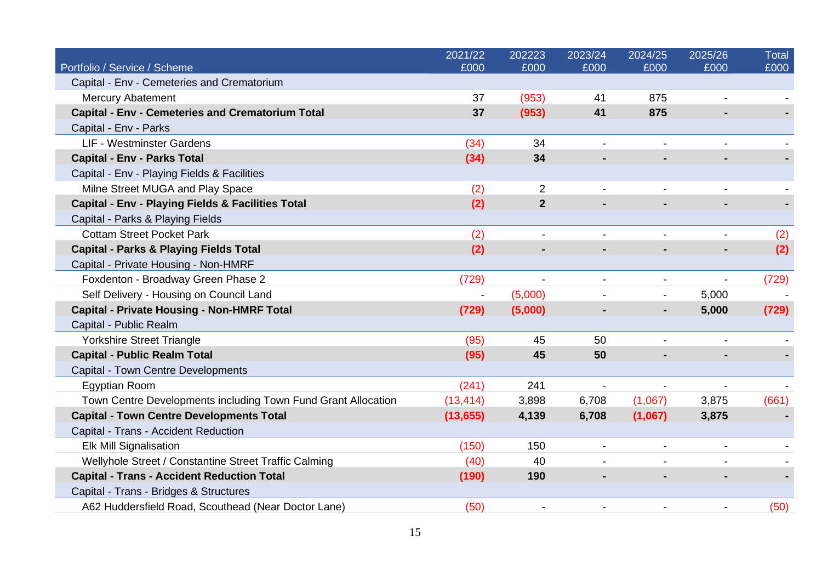|                                                               | 2021/22   | 202223         | 2023/24                  | 2024/25 | 2025/26 | Total |
|---------------------------------------------------------------|-----------|----------------|--------------------------|---------|---------|-------|
| Portfolio / Service / Scheme                                  | £000      | £000           | £000                     | £000    | £000    | £000  |
| Capital - Env - Cemeteries and Crematorium                    |           |                |                          |         |         |       |
| <b>Mercury Abatement</b>                                      | 37        | (953)          | 41                       | 875     |         |       |
| <b>Capital - Env - Cemeteries and Crematorium Total</b>       | 37        | (953)          | 41                       | 875     |         |       |
| Capital - Env - Parks                                         |           |                |                          |         |         |       |
| <b>LIF - Westminster Gardens</b>                              | (34)      | 34             |                          |         |         |       |
| <b>Capital - Env - Parks Total</b>                            | (34)      | 34             |                          |         |         |       |
| Capital - Env - Playing Fields & Facilities                   |           |                |                          |         |         |       |
| Milne Street MUGA and Play Space                              | (2)       | $\overline{2}$ |                          |         |         |       |
| <b>Capital - Env - Playing Fields &amp; Facilities Total</b>  | (2)       | $\mathbf{2}$   |                          |         |         |       |
| Capital - Parks & Playing Fields                              |           |                |                          |         |         |       |
| <b>Cottam Street Pocket Park</b>                              | (2)       |                |                          |         |         | (2)   |
| <b>Capital - Parks &amp; Playing Fields Total</b>             | (2)       |                |                          |         |         | (2)   |
| Capital - Private Housing - Non-HMRF                          |           |                |                          |         |         |       |
| Foxdenton - Broadway Green Phase 2                            | (729)     |                |                          |         |         | (729) |
| Self Delivery - Housing on Council Land                       |           | (5,000)        |                          |         | 5,000   |       |
| <b>Capital - Private Housing - Non-HMRF Total</b>             | (729)     | (5,000)        |                          |         | 5,000   | (729) |
| Capital - Public Realm                                        |           |                |                          |         |         |       |
| <b>Yorkshire Street Triangle</b>                              | (95)      | 45             | 50                       |         |         |       |
| <b>Capital - Public Realm Total</b>                           | (95)      | 45             | 50                       |         |         |       |
| Capital - Town Centre Developments                            |           |                |                          |         |         |       |
| <b>Egyptian Room</b>                                          | (241)     | 241            | $\overline{\phantom{a}}$ |         |         |       |
| Town Centre Developments including Town Fund Grant Allocation | (13, 414) | 3,898          | 6,708                    | (1,067) | 3,875   | (661) |
| <b>Capital - Town Centre Developments Total</b>               | (13, 655) | 4,139          | 6,708                    | (1,067) | 3,875   |       |
| Capital - Trans - Accident Reduction                          |           |                |                          |         |         |       |
| <b>Elk Mill Signalisation</b>                                 | (150)     | 150            |                          |         |         |       |
| Wellyhole Street / Constantine Street Traffic Calming         | (40)      | 40             |                          |         |         |       |
| <b>Capital - Trans - Accident Reduction Total</b>             | (190)     | 190            |                          |         |         |       |
| Capital - Trans - Bridges & Structures                        |           |                |                          |         |         |       |
| A62 Huddersfield Road, Scouthead (Near Doctor Lane)           | (50)      |                |                          |         |         | (50)  |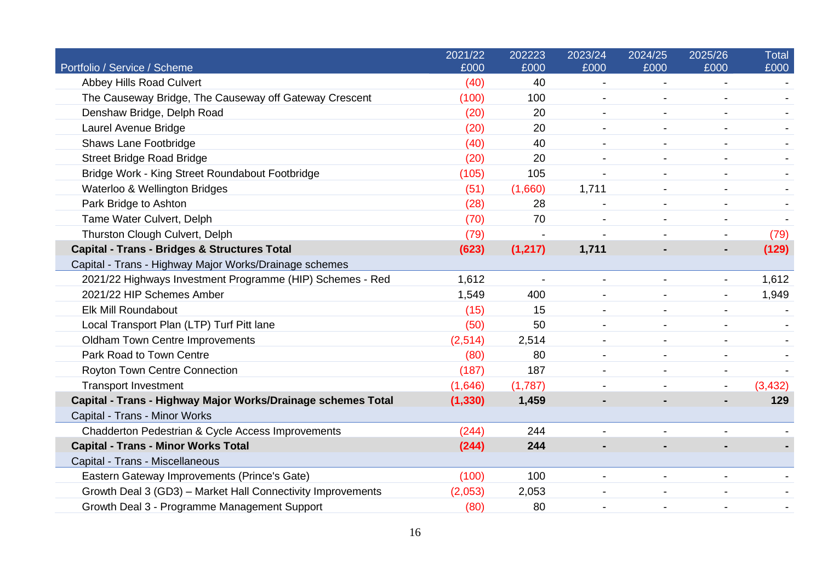|                                                              | 2021/22  | 202223   | 2023/24                  | 2024/25                  | 2025/26                  | Total    |
|--------------------------------------------------------------|----------|----------|--------------------------|--------------------------|--------------------------|----------|
| Portfolio / Service / Scheme                                 | £000     | £000     | £000                     | £000                     | £000                     | £000     |
| Abbey Hills Road Culvert                                     | (40)     | 40       | $\overline{\phantom{a}}$ |                          |                          |          |
| The Causeway Bridge, The Causeway off Gateway Crescent       | (100)    | 100      |                          |                          |                          |          |
| Denshaw Bridge, Delph Road                                   | (20)     | 20       | $\overline{\phantom{a}}$ | $\blacksquare$           |                          |          |
| Laurel Avenue Bridge                                         | (20)     | 20       |                          |                          |                          |          |
| <b>Shaws Lane Footbridge</b>                                 | (40)     | 40       |                          | $\overline{\phantom{a}}$ |                          |          |
| <b>Street Bridge Road Bridge</b>                             | (20)     | 20       |                          |                          |                          |          |
| Bridge Work - King Street Roundabout Footbridge              | (105)    | 105      |                          |                          |                          |          |
| Waterloo & Wellington Bridges                                | (51)     | (1,660)  | 1,711                    |                          |                          |          |
| Park Bridge to Ashton                                        | (28)     | 28       |                          |                          |                          |          |
| Tame Water Culvert, Delph                                    | (70)     | 70       |                          |                          |                          |          |
| Thurston Clough Culvert, Delph                               | (79)     |          |                          |                          |                          | (79)     |
| <b>Capital - Trans - Bridges &amp; Structures Total</b>      | (623)    | (1, 217) | 1,711                    |                          |                          | (129)    |
| Capital - Trans - Highway Major Works/Drainage schemes       |          |          |                          |                          |                          |          |
| 2021/22 Highways Investment Programme (HIP) Schemes - Red    | 1,612    |          |                          |                          |                          | 1,612    |
| 2021/22 HIP Schemes Amber                                    | 1,549    | 400      |                          |                          |                          | 1,949    |
| Elk Mill Roundabout                                          | (15)     | 15       | $\blacksquare$           |                          |                          |          |
| Local Transport Plan (LTP) Turf Pitt lane                    | (50)     | 50       | $\blacksquare$           | $\blacksquare$           |                          |          |
| <b>Oldham Town Centre Improvements</b>                       | (2, 514) | 2,514    |                          |                          |                          |          |
| Park Road to Town Centre                                     | (80)     | 80       | $\overline{\phantom{a}}$ |                          |                          |          |
| Royton Town Centre Connection                                | (187)    | 187      |                          |                          |                          |          |
| <b>Transport Investment</b>                                  | (1,646)  | (1,787)  |                          |                          | $\overline{\phantom{a}}$ | (3, 432) |
| Capital - Trans - Highway Major Works/Drainage schemes Total | (1, 330) | 1,459    |                          |                          |                          | 129      |
| Capital - Trans - Minor Works                                |          |          |                          |                          |                          |          |
| Chadderton Pedestrian & Cycle Access Improvements            | (244)    | 244      |                          |                          |                          |          |
| <b>Capital - Trans - Minor Works Total</b>                   | (244)    | 244      |                          |                          |                          |          |
| Capital - Trans - Miscellaneous                              |          |          |                          |                          |                          |          |
| Eastern Gateway Improvements (Prince's Gate)                 | (100)    | 100      |                          |                          |                          |          |
| Growth Deal 3 (GD3) - Market Hall Connectivity Improvements  | (2,053)  | 2,053    |                          |                          |                          |          |
| Growth Deal 3 - Programme Management Support                 | (80)     | 80       |                          |                          |                          |          |